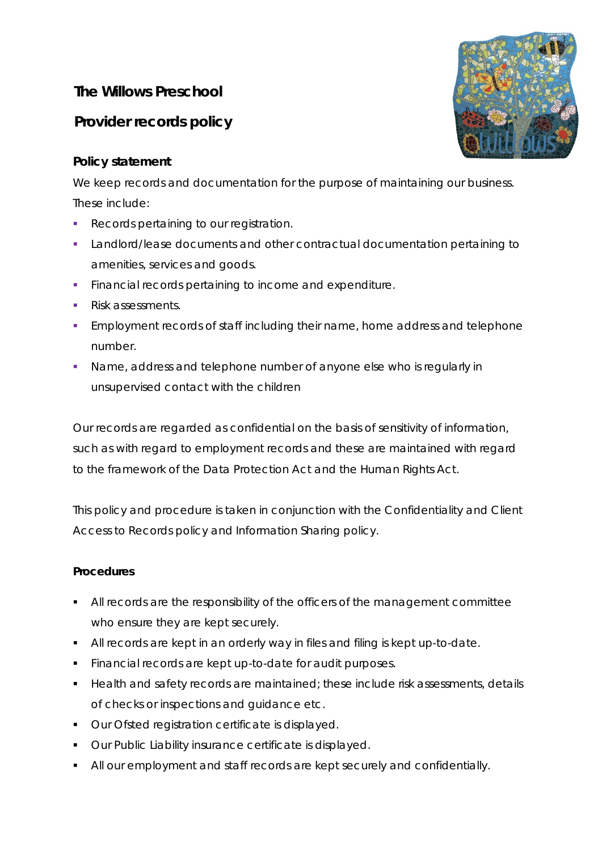# **The Willows Preschool**

## **Provider records policy**

### **Policy statement**

We keep records and documentation for the purpose of maintaining our business. These include:

- Records pertaining to our registration.
- Landlord/lease documents and other contractual documentation pertaining to amenities, services and goods.
- **Financial records pertaining to income and expenditure.**
- **Risk assessments.**
- Employment records of staff including their name, home address and telephone number.
- Name, address and telephone number of anyone else who is regularly in unsupervised contact with the children

Our records are regarded as confidential on the basis of sensitivity of information, such as with regard to employment records and these are maintained with regard to the framework of the Data Protection Act and the Human Rights Act.

This policy and procedure is taken in conjunction with the Confidentiality and Client Access to Records policy and Information Sharing policy.

### **Procedures**

- All records are the responsibility of the officers of the management committee who ensure they are kept securely.
- All records are kept in an orderly way in files and filing is kept up-to-date.
- **Financial records are kept up-to-date for audit purposes.**
- Health and safety records are maintained; these include risk assessments, details of checks or inspections and guidance etc.
- **Our Ofsted registration certificate is displayed.**
- **Our Public Liability insurance certificate is displayed.**
- All our employment and staff records are kept securely and confidentially.